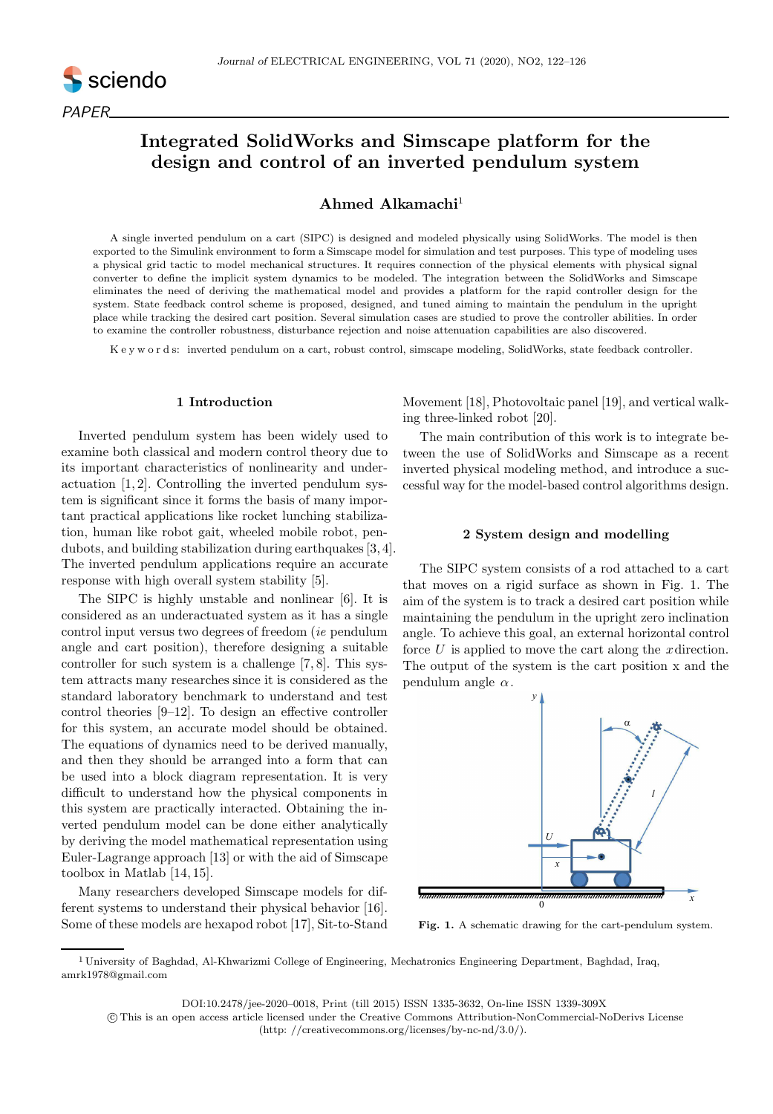

# Integrated SolidWorks and Simscape platform for the design and control of an inverted pendulum system

## Ahmed Alkamachi $1$

A single inverted pendulum on a cart (SIPC) is designed and modeled physically using SolidWorks. The model is then exported to the Simulink environment to form a Simscape model for simulation and test purposes. This type of modeling uses a physical grid tactic to model mechanical structures. It requires connection of the physical elements with physical signal converter to define the implicit system dynamics to be modeled. The integration between the SolidWorks and Simscape eliminates the need of deriving the mathematical model and provides a platform for the rapid controller design for the system. State feedback control scheme is proposed, designed, and tuned aiming to maintain the pendulum in the upright place while tracking the desired cart position. Several simulation cases are studied to prove the controller abilities. In order to examine the controller robustness, disturbance rejection and noise attenuation capabilities are also discovered.

K e y w o r d s: inverted pendulum on a cart, robust control, simscape modeling, SolidWorks, state feedback controller.

## 1 Introduction

Inverted pendulum system has been widely used to examine both classical and modern control theory due to its important characteristics of nonlinearity and underactuation [1, 2]. Controlling the inverted pendulum system is significant since it forms the basis of many important practical applications like rocket lunching stabilization, human like robot gait, wheeled mobile robot, pendubots, and building stabilization during earthquakes [3, 4]. The inverted pendulum applications require an accurate response with high overall system stability [5].

The SIPC is highly unstable and nonlinear [6]. It is considered as an underactuated system as it has a single control input versus two degrees of freedom (ie pendulum angle and cart position), therefore designing a suitable controller for such system is a challenge [7, 8]. This system attracts many researches since it is considered as the standard laboratory benchmark to understand and test control theories [9–12]. To design an effective controller for this system, an accurate model should be obtained. The equations of dynamics need to be derived manually, and then they should be arranged into a form that can be used into a block diagram representation. It is very difficult to understand how the physical components in this system are practically interacted. Obtaining the inverted pendulum model can be done either analytically by deriving the model mathematical representation using Euler-Lagrange approach [13] or with the aid of Simscape toolbox in Matlab [14, 15].

Many researchers developed Simscape models for different systems to understand their physical behavior [16]. Some of these models are hexapod robot [17], Sit-to-Stand Movement [18], Photovoltaic panel [19], and vertical walking three-linked robot [20].

The main contribution of this work is to integrate between the use of SolidWorks and Simscape as a recent inverted physical modeling method, and introduce a successful way for the model-based control algorithms design.

#### 2 System design and modelling

The SIPC system consists of a rod attached to a cart that moves on a rigid surface as shown in Fig. 1. The aim of the system is to track a desired cart position while maintaining the pendulum in the upright zero inclination angle. To achieve this goal, an external horizontal control force  $U$  is applied to move the cart along the *x* direction. The output of the system is the cart position x and the pendulum angle  $\alpha$ .



Fig. 1. A schematic drawing for the cart-pendulum system.

DOI:10.2478/jee-2020–0018, Print (till 2015) ISSN 1335-3632, On-line ISSN 1339-309X

<sup>1</sup> University of Baghdad, Al-Khwarizmi College of Engineering, Mechatronics Engineering Department, Baghdad, Iraq, amrk1978@gmail.com

c This is an open access article licensed under the Creative Commons Attribution-NonCommercial-NoDerivs License (http: //creativecommons.org/licenses/by-nc-nd/3.0/).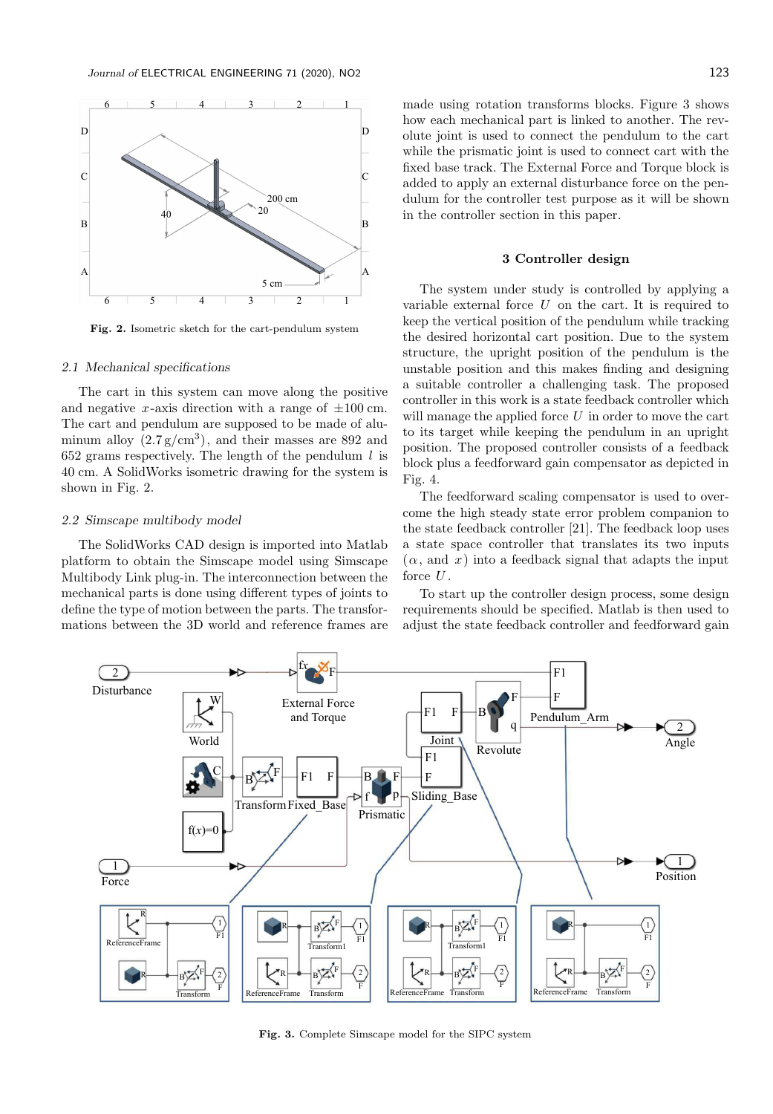

Fig. 2. Isometric sketch for the cart-pendulum system

## 2.1 Mechanical specifications

The cart in this system can move along the positive and negative x-axis direction with a range of  $\pm 100$  cm. The cart and pendulum are supposed to be made of aluminum alloy  $(2.7 \text{ g/cm}^3)$ , and their masses are 892 and 652 grams respectively. The length of the pendulum  $l$  is 40 cm. A SolidWorks isometric drawing for the system is shown in Fig. 2.

## 2.2 Simscape multibody model

The SolidWorks CAD design is imported into Matlab platform to obtain the Simscape model using Simscape Multibody Link plug-in. The interconnection between the mechanical parts is done using different types of joints to define the type of motion between the parts. The transformations between the 3D world and reference frames are made using rotation transforms blocks. Figure 3 shows how each mechanical part is linked to another. The revolute joint is used to connect the pendulum to the cart while the prismatic joint is used to connect cart with the fixed base track. The External Force and Torque block is added to apply an external disturbance force on the pendulum for the controller test purpose as it will be shown in the controller section in this paper.

### 3 Controller design

The system under study is controlled by applying a variable external force  $U$  on the cart. It is required to keep the vertical position of the pendulum while tracking the desired horizontal cart position. Due to the system structure, the upright position of the pendulum is the unstable position and this makes finding and designing a suitable controller a challenging task. The proposed controller in this work is a state feedback controller which will manage the applied force  $U$  in order to move the cart to its target while keeping the pendulum in an upright position. The proposed controller consists of a feedback block plus a feedforward gain compensator as depicted in Fig. 4.

The feedforward scaling compensator is used to overcome the high steady state error problem companion to the state feedback controller [21]. The feedback loop uses a state space controller that translates its two inputs  $(\alpha, \text{ and } x)$  into a feedback signal that adapts the input force  $U$ .

To start up the controller design process, some design requirements should be specified. Matlab is then used to adjust the state feedback controller and feedforward gain



Fig. 3. Complete Simscape model for the SIPC system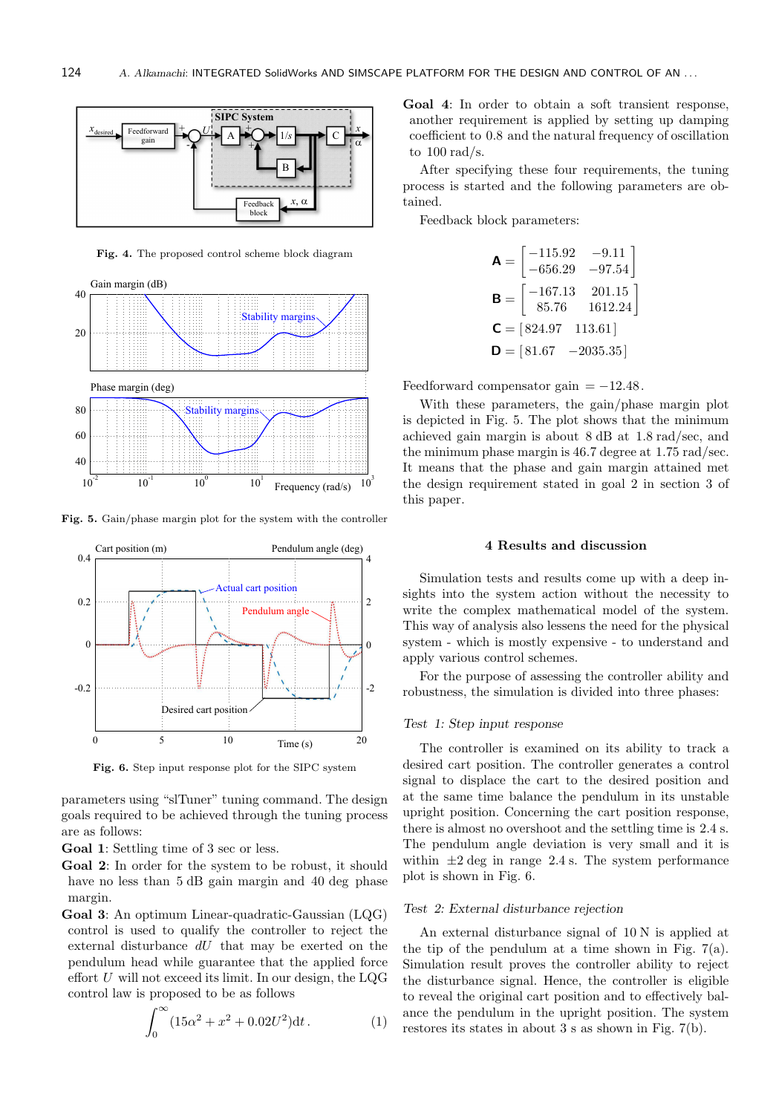

Fig. 4. The proposed control scheme block diagram



Fig. 5. Gain/phase margin plot for the system with the controller



Fig. 6. Step input response plot for the SIPC system

parameters using "slTuner" tuning command. The design goals required to be achieved through the tuning process are as follows:

Goal 1: Settling time of 3 sec or less.

Goal 2: In order for the system to be robust, it should have no less than 5 dB gain margin and 40 deg phase margin.

Goal 3: An optimum Linear-quadratic-Gaussian (LQG) control is used to qualify the controller to reject the external disturbance  $dU$  that may be exerted on the pendulum head while guarantee that the applied force effort  $U$  will not exceed its limit. In our design, the LQG control law is proposed to be as follows

$$
\int_0^\infty (15\alpha^2 + x^2 + 0.02U^2) dt.
$$
 (1)

Goal 4: In order to obtain a soft transient response, another requirement is applied by setting up damping coefficient to 0.8 and the natural frequency of oscillation to  $100 \text{ rad/s}$ .

After specifying these four requirements, the tuning process is started and the following parameters are obtained.

Feedback block parameters:

$$
\mathbf{A} = \begin{bmatrix} -115.92 & -9.11 \\ -656.29 & -97.54 \end{bmatrix}
$$

$$
\mathbf{B} = \begin{bmatrix} -167.13 & 201.15 \\ 85.76 & 1612.24 \end{bmatrix}
$$

$$
\mathbf{C} = \begin{bmatrix} 824.97 & 113.61 \end{bmatrix}
$$

$$
\mathbf{D} = \begin{bmatrix} 81.67 & -2035.35 \end{bmatrix}
$$

Feedforward compensator gain  $= -12.48$ .

With these parameters, the gain/phase margin plot is depicted in Fig. 5. The plot shows that the minimum achieved gain margin is about 8 dB at 1.8 rad/sec, and the minimum phase margin is 46.7 degree at 1.75 rad/sec. It means that the phase and gain margin attained met the design requirement stated in goal 2 in section 3 of this paper.

### 4 Results and discussion

Simulation tests and results come up with a deep insights into the system action without the necessity to write the complex mathematical model of the system. This way of analysis also lessens the need for the physical system - which is mostly expensive - to understand and apply various control schemes.

For the purpose of assessing the controller ability and robustness, the simulation is divided into three phases:

#### Test 1: Step input response

The controller is examined on its ability to track a desired cart position. The controller generates a control signal to displace the cart to the desired position and at the same time balance the pendulum in its unstable upright position. Concerning the cart position response, there is almost no overshoot and the settling time is 2.4 s. The pendulum angle deviation is very small and it is within  $\pm 2$  deg in range 2.4 s. The system performance plot is shown in Fig. 6.

#### Test 2: External disturbance rejection

An external disturbance signal of 10 N is applied at the tip of the pendulum at a time shown in Fig.  $7(a)$ . Simulation result proves the controller ability to reject the disturbance signal. Hence, the controller is eligible to reveal the original cart position and to effectively balance the pendulum in the upright position. The system restores its states in about 3 s as shown in Fig. 7(b).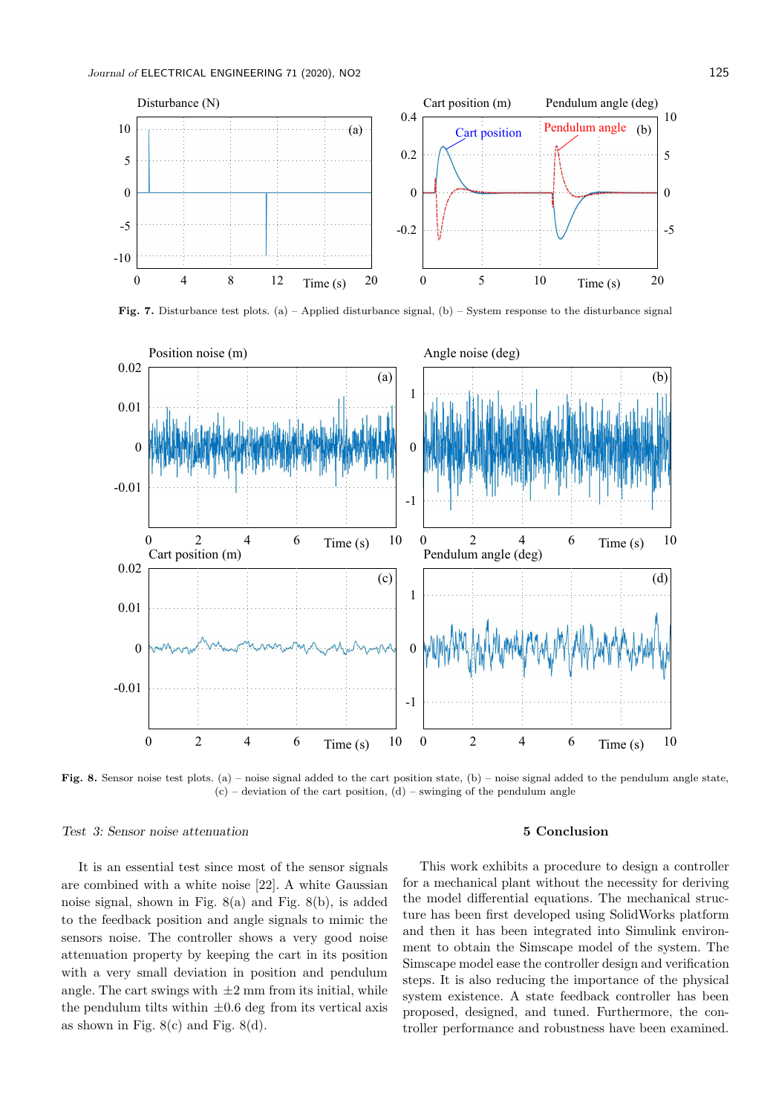

Fig. 7. Disturbance test plots. (a) – Applied disturbance signal, (b) – System response to the disturbance signal



Fig. 8. Sensor noise test plots. (a) – noise signal added to the cart position state, (b) – noise signal added to the pendulum angle state,  $(c)$  – deviation of the cart position,  $(d)$  – swinging of the pendulum angle

### Test 3: Sensor noise attenuation

## It is an essential test since most of the sensor signals are combined with a white noise [22]. A white Gaussian noise signal, shown in Fig. 8(a) and Fig. 8(b), is added to the feedback position and angle signals to mimic the sensors noise. The controller shows a very good noise attenuation property by keeping the cart in its position with a very small deviation in position and pendulum angle. The cart swings with  $\pm 2$  mm from its initial, while the pendulum tilts within  $\pm 0.6$  deg from its vertical axis as shown in Fig.  $8(c)$  and Fig.  $8(d)$ .

## 5 Conclusion

This work exhibits a procedure to design a controller for a mechanical plant without the necessity for deriving the model differential equations. The mechanical structure has been first developed using SolidWorks platform and then it has been integrated into Simulink environment to obtain the Simscape model of the system. The Simscape model ease the controller design and verification steps. It is also reducing the importance of the physical system existence. A state feedback controller has been proposed, designed, and tuned. Furthermore, the controller performance and robustness have been examined.